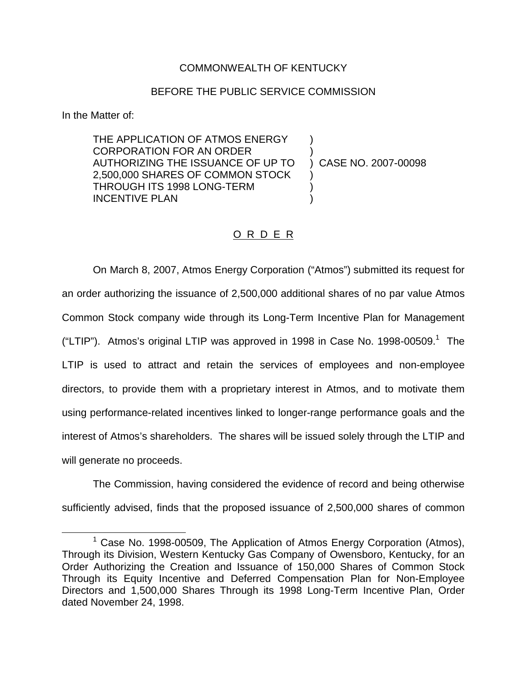## COMMONWEALTH OF KENTUCKY

## BEFORE THE PUBLIC SERVICE COMMISSION

In the Matter of:

THE APPLICATION OF ATMOS ENERGY CORPORATION FOR AN ORDER ) AUTHORIZING THE ISSUANCE OF UP TO ) CASE NO. 2007-00098 2,500,000 SHARES OF COMMON STOCK ) THROUGH ITS 1998 LONG-TERM ) INCENTIVE PLAN

## O R D E R

On March 8, 2007, Atmos Energy Corporation ("Atmos") submitted its request for an order authorizing the issuance of 2,500,000 additional shares of no par value Atmos Common Stock company wide through its Long-Term Incentive Plan for Management ("LTIP"). Atmos's original LTIP was approved in 1998 in Case No. 1998-00509. $^1$  The LTIP is used to attract and retain the services of employees and non-employee directors, to provide them with a proprietary interest in Atmos, and to motivate them using performance-related incentives linked to longer-range performance goals and the interest of Atmos's shareholders. The shares will be issued solely through the LTIP and will generate no proceeds.

The Commission, having considered the evidence of record and being otherwise sufficiently advised, finds that the proposed issuance of 2,500,000 shares of common

<sup>&</sup>lt;sup>1</sup> Case No. 1998-00509, The Application of Atmos Energy Corporation (Atmos), Through its Division, Western Kentucky Gas Company of Owensboro, Kentucky, for an Order Authorizing the Creation and Issuance of 150,000 Shares of Common Stock Through its Equity Incentive and Deferred Compensation Plan for Non-Employee Directors and 1,500,000 Shares Through its 1998 Long-Term Incentive Plan, Order dated November 24, 1998.